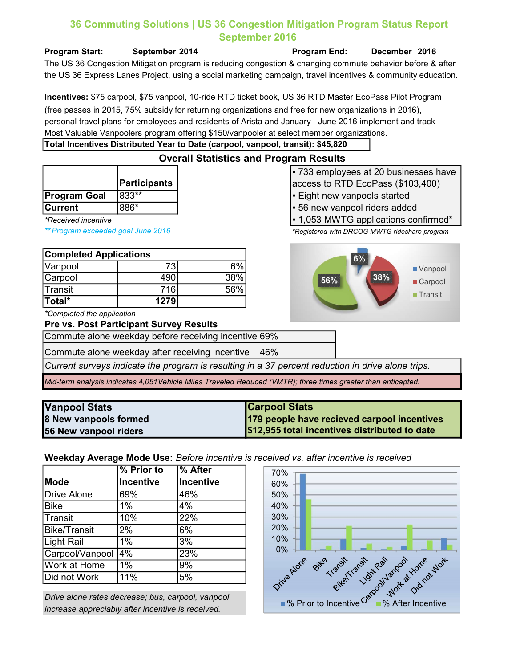# 36 Commuting Solutions | US 36 Congestion Mitigation Program Status Report September 2016

the US 36 Express Lanes Project, using a social marketing campaign, travel incentives & community education. The US 36 Congestion Mitigation program is reducing congestion & changing commute behavior before & after

Incentives: \$75 carpool, \$75 vanpool, 10-ride RTD ticket book, US 36 RTD Master EcoPass Pilot Program (free passes in 2015, 75% subsidy for returning organizations and free for new organizations in 2016), personal travel plans for employees and residents of Arista and January - June 2016 implement and track Most Valuable Vanpoolers program offering \$150/vanpooler at select member organizations.

Overall Statistics and Program Results

### Total Incentives Distributed Year to Date (carpool, vanpool, transit): \$45,820

|              | <b>Participants</b> |
|--------------|---------------------|
| Program Goal | l833**              |
| Currant      | $RRR*$              |

| <b>Completed Applications</b> |      |     |  |
|-------------------------------|------|-----|--|
| Vanpool                       | 731  |     |  |
| Carpool                       | 490  | 38% |  |
| Transit                       | 716  | 56% |  |
| Total*                        | 1279 |     |  |

\*Completed the application

#### Pre vs. Post Participant Survey Results

Commute alone weekday before receiving incentive 69%

Commute alone weekday after receiving incentive 46%

Current surveys indicate the program is resulting in a 37 percent reduction in drive alone trips.

Mid-term analysis indicates 4,051Vehicle Miles Traveled Reduced (VMTR); three times greater than anticapted.

| Vanpool Stats         | <b>Carpool Stats</b>                          |
|-----------------------|-----------------------------------------------|
| 8 New vanpools formed | 179 people have recieved carpool incentives   |
| 56 New vanpool riders | \$12,955 total incentives distributed to date |

Weekday Average Mode Use: Before incentive is received vs. after incentive is received

|                     | % Prior to       | % After          |
|---------------------|------------------|------------------|
| <b>Mode</b>         | <b>Incentive</b> | <b>Incentive</b> |
| <b>Drive Alone</b>  | 69%              | 46%              |
| <b>Bike</b>         | 1%               | 4%               |
| Transit             | 10%              | 22%              |
| <b>Bike/Transit</b> | 2%               | 6%               |
| Light Rail          | 1%               | 3%               |
| Carpool/Vanpool     | $\overline{4\%}$ | 23%              |
| Work at Home        | 1%               | 9%               |
| Did not Work        | 11%              | 5%               |

Drive alone rates decrease; bus, carpool, vanpool increase appreciably after incentive is received.



▪ 733 employees at 20 businesses have access to RTD EcoPass (\$103,400) ▪ Eight new vanpools started

- Current 886\* 56 new vanpool riders added
- \*Received incentive  $\vert$  1,053 MWTG applications confirmed\*

\*\* Program exceeded goal June 2016 \*Registered with DRCOG MWTG rideshare program



Program Start: September 2014 Program End: December 2016